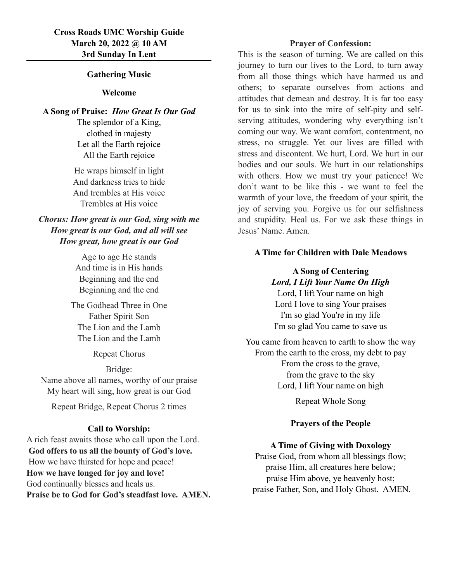### **Gathering Music**

## **Welcome**

**A Song of Praise:** *How Great Is Our God*

The splendor of a King, clothed in majesty Let all the Earth rejoice All the Earth rejoice

He wraps himself in light And darkness tries to hide And trembles at His voice Trembles at His voice

*Chorus: How great is our God, sing with me How great is our God, and all will see How great, how great is our God*

> Age to age He stands And time is in His hands Beginning and the end Beginning and the end

The Godhead Three in One Father Spirit Son The Lion and the Lamb The Lion and the Lamb

Repeat Chorus

Bridge:

Name above all names, worthy of our praise My heart will sing, how great is our God

Repeat Bridge, Repeat Chorus 2 times

#### **Call to Worship:**

A rich feast awaits those who call upon the Lord.  **God offers to us all the bounty of God's love.** How we have thirsted for hope and peace! **How we have longed for joy and love!** God continually blesses and heals us. **Praise be to God for God's steadfast love. AMEN.** 

#### **Prayer of Confession:**

This is the season of turning. We are called on this journey to turn our lives to the Lord, to turn away from all those things which have harmed us and others; to separate ourselves from actions and attitudes that demean and destroy. It is far too easy for us to sink into the mire of self-pity and selfserving attitudes, wondering why everything isn't coming our way. We want comfort, contentment, no stress, no struggle. Yet our lives are filled with stress and discontent. We hurt, Lord. We hurt in our bodies and our souls. We hurt in our relationships with others. How we must try your patience! We don't want to be like this - we want to feel the warmth of your love, the freedom of your spirit, the joy of serving you. Forgive us for our selfishness and stupidity. Heal us. For we ask these things in Jesus' Name. Amen.

#### **A Time for Children with Dale Meadows**

# **A Song of Centering** *Lord, I Lift Your Name On High* Lord, I lift Your name on high

Lord I love to sing Your praises I'm so glad You're in my life I'm so glad You came to save us

You came from heaven to earth to show the way From the earth to the cross, my debt to pay From the cross to the grave, from the grave to the sky Lord, I lift Your name on high

Repeat Whole Song

#### **Prayers of the People**

### **A Time of Giving with Doxology**

Praise God, from whom all blessings flow; praise Him, all creatures here below; praise Him above, ye heavenly host; praise Father, Son, and Holy Ghost. AMEN.